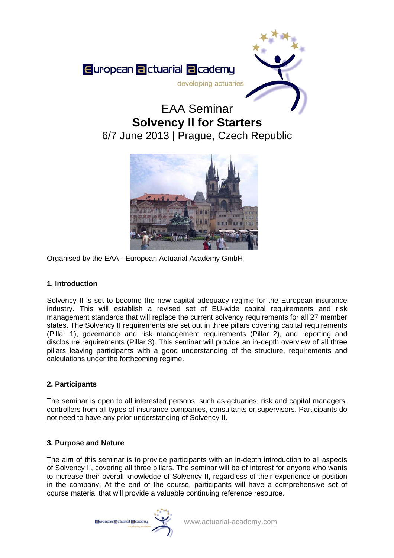

# EAA Seminar **Solvency II for Starters**  6/7 June 2013 | Prague, Czech Republic



Organised by the EAA - European Actuarial Academy GmbH

# **1. Introduction**

Solvency II is set to become the new capital adequacy regime for the European insurance industry. This will establish a revised set of EU-wide capital requirements and risk management standards that will replace the current solvency requirements for all 27 member states. The Solvency II requirements are set out in three pillars covering capital requirements (Pillar 1), governance and risk management requirements (Pillar 2), and reporting and disclosure requirements (Pillar 3). This seminar will provide an in-depth overview of all three pillars leaving participants with a good understanding of the structure, requirements and calculations under the forthcoming regime.

# **2. Participants**

The seminar is open to all interested persons, such as actuaries, risk and capital managers, controllers from all types of insurance companies, consultants or supervisors. Participants do not need to have any prior understanding of Solvency II.

# **3. Purpose and Nature**

The aim of this seminar is to provide participants with an in-depth introduction to all aspects of Solvency II, covering all three pillars. The seminar will be of interest for anyone who wants to increase their overall knowledge of Solvency II, regardless of their experience or position in the company. At the end of the course, participants will have a comprehensive set of course material that will provide a valuable continuing reference resource.

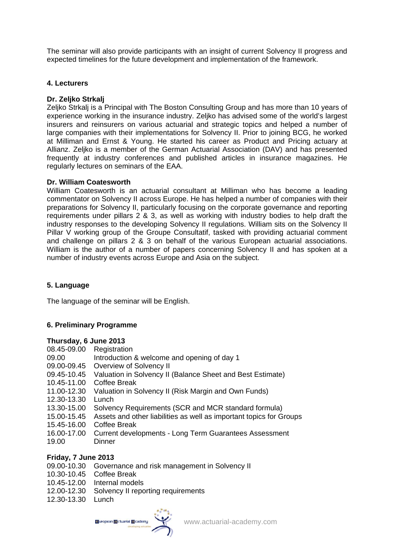The seminar will also provide participants with an insight of current Solvency II progress and expected timelines for the future development and implementation of the framework.

## **4. Lecturers**

## **Dr. Zeljko Strkalj**

Zeljko Strkalj is a Principal with The Boston Consulting Group and has more than 10 years of experience working in the insurance industry. Zeljko has advised some of the world's largest insurers and reinsurers on various actuarial and strategic topics and helped a number of large companies with their implementations for Solvency II. Prior to joining BCG, he worked at Milliman and Ernst & Young. He started his career as Product and Pricing actuary at Allianz. Zeljko is a member of the German Actuarial Association (DAV) and has presented frequently at industry conferences and published articles in insurance magazines. He regularly lectures on seminars of the EAA.

#### **Dr. William Coatesworth**

William Coatesworth is an actuarial consultant at Milliman who has become a leading commentator on Solvency II across Europe. He has helped a number of companies with their preparations for Solvency II, particularly focusing on the corporate governance and reporting requirements under pillars 2 & 3, as well as working with industry bodies to help draft the industry responses to the developing Solvency II regulations. William sits on the Solvency II Pillar V working group of the Groupe Consultatif, tasked with providing actuarial comment and challenge on pillars 2 & 3 on behalf of the various European actuarial associations. William is the author of a number of papers concerning Solvency II and has spoken at a number of industry events across Europe and Asia on the subject.

# **5. Language**

The language of the seminar will be English.

#### **6. Preliminary Programme**

#### **Thursday, 6 June 2013**

- 08.45-09.00 Registration
- 09.00 Introduction & welcome and opening of day 1
- 09.00-09.45 Overview of Solvency II
- 09.45-10.45 Valuation in Solvency II (Balance Sheet and Best Estimate)
- 10.45-11.00 Coffee Break
- 11.00-12.30 Valuation in Solvency II (Risk Margin and Own Funds)
- 12.30-13.30 Lunch
- 13.30-15.00 Solvency Requirements (SCR and MCR standard formula)
- 15.00-15.45 Assets and other liabilities as well as important topics for Groups
- 15.45-16.00 Coffee Break
- 16.00-17.00 Current developments Long Term Guarantees Assessment 19.00 Dinner

#### **Friday, 7 June 2013**

- 09.00-10.30 Governance and risk management in Solvency II
- 10.30-10.45 Coffee Break
- 10.45-12.00 Internal models
- 12.00-12.30 Solvency II reporting requirements
- 12.30-13.30 Lunch